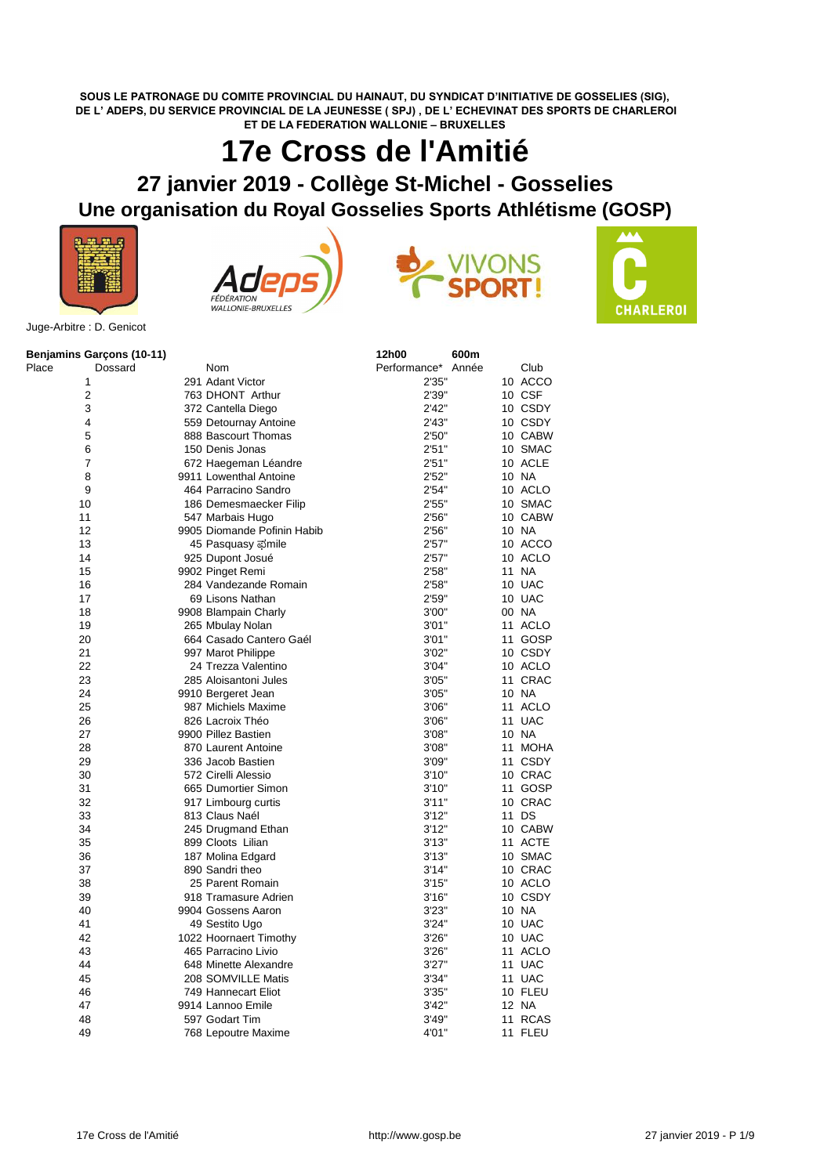**SOUS LE PATRONAGE DU COMITE PROVINCIAL DU HAINAUT, DU SYNDICAT D'INITIATIVE DE GOSSELIES (SIG), DE L' ADEPS, DU SERVICE PROVINCIAL DE LA JEUNESSE ( SPJ) , DE L' ECHEVINAT DES SPORTS DE CHARLEROI ET DE LA FEDERATION WALLONIE – BRUXELLES**

## **17e Cross de l'Amitié**

## **27 janvier 2019 - Collège St-Michel - Gosselies**

## **Une organisation du Royal Gosselies Sports Athlétisme (GOSP)**









Juge-Arbitre : D. Genicot

|       | <b>Benjamins Garçons (10-11)</b> |                             | 12h00        | 600m  |             |
|-------|----------------------------------|-----------------------------|--------------|-------|-------------|
| Place | Dossard                          | Nom                         | Performance* | Année | Club        |
|       | 1                                | 291 Adant Victor            | 2'35"        |       | 10 ACCO     |
|       | $\overline{\mathbf{c}}$          | 763 DHONT Arthur            | 2'39"        |       | 10 CSF      |
|       | 3                                | 372 Cantella Diego          | 2'42"        |       | 10 CSDY     |
|       | 4                                | 559 Detournay Antoine       | 2'43"        |       | 10 CSDY     |
|       | 5                                | 888 Bascourt Thomas         | 2'50"        |       | 10 CABW     |
|       | 6                                | 150 Denis Jonas             | 2'51"        |       | 10 SMAC     |
|       | 7                                | 672 Haegeman Léandre        | 2'51"        |       | 10 ACLE     |
|       | 8                                | 9911 Lowenthal Antoine      | 2'52"        |       | 10 NA       |
|       | 9                                | 464 Parracino Sandro        | 2'54"        |       | 10 ACLO     |
|       | 10                               | 186 Demesmaecker Filip      | 2'55"        |       | 10 SMAC     |
|       | 11                               | 547 Marbais Hugo            | 2'56"        |       | 10 CABW     |
|       | 12                               | 9905 Diomande Pofinin Habib | 2'56"        |       | 10 NA       |
|       | 13                               | 45 Pasquasy ಫmile           | 2'57"        |       | 10 ACCO     |
|       | 14                               | 925 Dupont Josué            | 2'57"        |       | 10 ACLO     |
|       | 15                               | 9902 Pinget Remi            | 2'58"        |       | 11 NA       |
|       | 16                               | 284 Vandezande Romain       | 2'58"        |       | 10 UAC      |
|       | 17                               | 69 Lisons Nathan            | 2'59"        |       | 10 UAC      |
|       | 18                               | 9908 Blampain Charly        | 3'00"        |       | 00 NA       |
|       | 19                               | 265 Mbulay Nolan            | 3'01"        |       | 11 ACLO     |
|       | 20                               | 664 Casado Cantero Gaél     | 3'01"        |       | 11 GOSP     |
|       | 21                               | 997 Marot Philippe          | 3'02"        |       | 10 CSDY     |
|       | 22                               | 24 Trezza Valentino         | 3'04"        |       | 10 ACLO     |
|       | 23                               | 285 Aloisantoni Jules       | 3'05"        |       | 11 CRAC     |
|       | 24                               | 9910 Bergeret Jean          | 3'05"        |       | 10 NA       |
|       | 25                               | 987 Michiels Maxime         | 3'06"        |       | 11 ACLO     |
|       | 26                               | 826 Lacroix Théo            | 3'06"        |       | 11 UAC      |
|       | 27                               | 9900 Pillez Bastien         | 3'08"        |       | 10 NA       |
|       | 28                               | 870 Laurent Antoine         | 3'08"        | 11    | <b>MOHA</b> |
|       | 29                               | 336 Jacob Bastien           | 3'09"        |       | 11 CSDY     |
|       | 30                               | 572 Cirelli Alessio         | 3'10''       |       | 10 CRAC     |
|       | 31                               | 665 Dumortier Simon         | 3'10"        |       | 11 GOSP     |
|       | 32                               | 917 Limbourg curtis         | 3'11''       |       | 10 CRAC     |
|       | 33                               | 813 Claus Naél              | 3'12"        |       | 11 DS       |
|       | 34                               | 245 Drugmand Ethan          | 3'12"        |       | 10 CABW     |
|       | 35                               | 899 Cloots Lilian           | 3'13''       |       | 11 ACTE     |
|       | 36                               | 187 Molina Edgard           | 3'13''       |       | 10 SMAC     |
|       | 37                               | 890 Sandri theo             | 3'14"        |       | 10 CRAC     |
|       | 38                               | 25 Parent Romain            | 3'15"        |       | 10 ACLO     |
|       | 39                               | 918 Tramasure Adrien        | 3'16''       |       | 10 CSDY     |
|       | 40                               | 9904 Gossens Aaron          | 3'23"        |       | 10 NA       |
|       | 41                               | 49 Sestito Ugo              | 3'24"        |       | 10 UAC      |
|       | 42                               | 1022 Hoornaert Timothy      | 3'26"        |       | 10 UAC      |
|       | 43                               | 465 Parracino Livio         | 3'26"        |       | 11 ACLO     |
|       | 44                               | 648 Minette Alexandre       | 3'27''       |       | 11 UAC      |
|       | 45                               | 208 SOMVILLE Matis          | 3'34"        |       | 11 UAC      |
|       | 46                               | 749 Hannecart Eliot         | 3'35"        |       | 10 FLEU     |
|       | 47                               | 9914 Lannoo Emile           | 3'42''       |       | 12 NA       |
|       | 48                               | 597 Godart Tim              | 3'49"        |       | 11 RCAS     |
|       | 49                               | 768 Lepoutre Maxime         | 4'01"        |       | 11 FLEU     |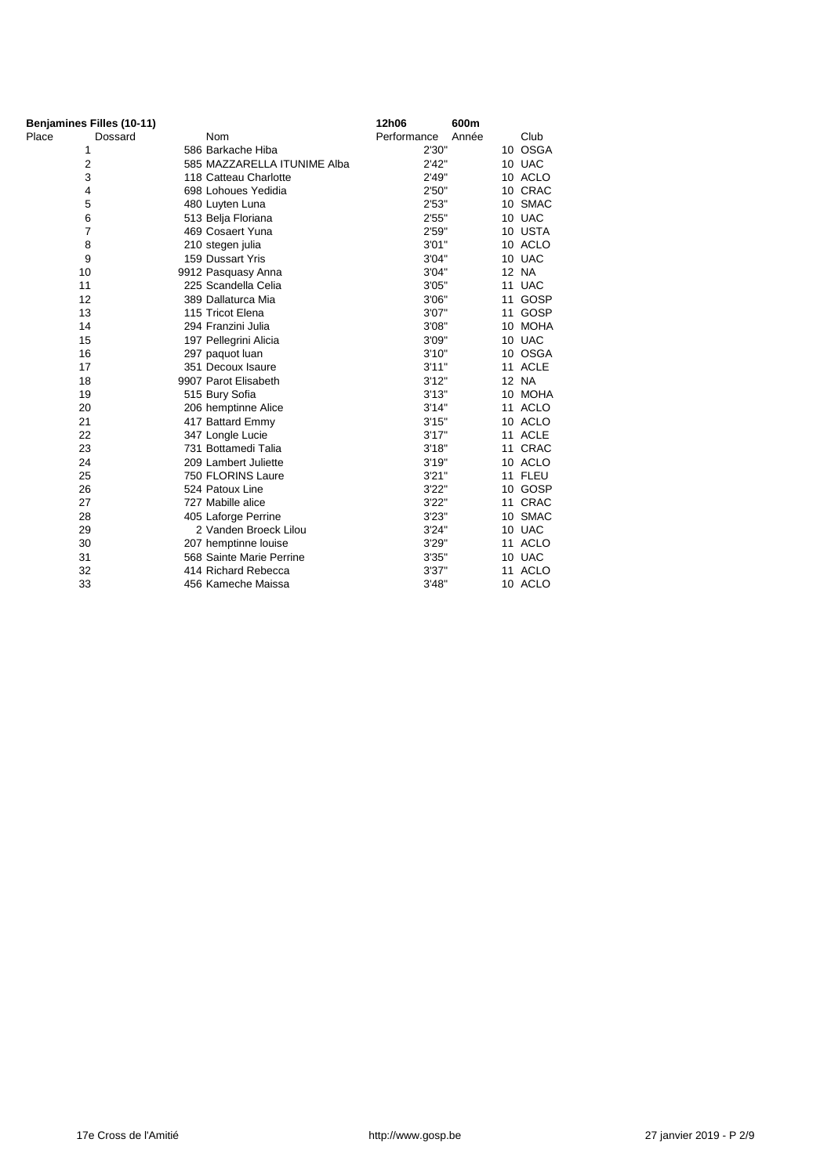| Benjamines Filles (10-11) |         |                             | 12h06       | 600m  |         |
|---------------------------|---------|-----------------------------|-------------|-------|---------|
| Place                     | Dossard | <b>Nom</b>                  | Performance | Année | Club    |
| 1                         |         | 586 Barkache Hiba           | 2'30"       |       | 10 OSGA |
| 2                         |         | 585 MAZZARELLA ITUNIME Alba | 2'42"       |       | 10 UAC  |
| 3                         |         | 118 Catteau Charlotte       | 2'49"       |       | 10 ACLO |
| 4                         |         | 698 Lohoues Yedidia         | 2'50"       |       | 10 CRAC |
| 5                         |         | 480 Luyten Luna             | 2'53"       |       | 10 SMAC |
| 6                         |         | 513 Belja Floriana          | 2'55"       |       | 10 UAC  |
| $\overline{7}$            |         | 469 Cosaert Yuna            | 2'59"       |       | 10 USTA |
| 8                         |         | 210 stegen julia            | 3'01"       |       | 10 ACLO |
| 9                         |         | 159 Dussart Yris            | 3'04"       |       | 10 UAC  |
| 10                        |         | 9912 Pasquasy Anna          | 3'04"       |       | 12 NA   |
| 11                        |         | 225 Scandella Celia         | 3'05"       |       | 11 UAC  |
| 12                        |         | 389 Dallaturca Mia          | 3'06"       |       | 11 GOSP |
| 13                        |         | 115 Tricot Elena            | 3'07"       |       | 11 GOSP |
| 14                        |         | 294 Franzini Julia          | 3'08"       |       | 10 MOHA |
| 15                        |         | 197 Pellegrini Alicia       | 3'09"       |       | 10 UAC  |
| 16                        |         | 297 paquot luan             | 3'10"       |       | 10 OSGA |
| 17                        |         | 351 Decoux Isaure           | 3'11''      |       | 11 ACLE |
| 18                        |         | 9907 Parot Elisabeth        | 3'12"       |       | 12 NA   |
| 19                        |         | 515 Bury Sofia              | 3'13''      |       | 10 MOHA |
| 20                        |         | 206 hemptinne Alice         | 3'14"       |       | 11 ACLO |
| 21                        |         | 417 Battard Emmy            | 3'15"       |       | 10 ACLO |
| 22                        |         | 347 Longle Lucie            | 3'17''      |       | 11 ACLE |
| 23                        |         | 731 Bottamedi Talia         | 3'18"       |       | 11 CRAC |
| 24                        |         | 209 Lambert Juliette        | 3'19"       |       | 10 ACLO |
| 25                        |         | 750 FLORINS Laure           | 3'21''      |       | 11 FLEU |
| 26                        |         | 524 Patoux Line             | 3'22"       |       | 10 GOSP |
| 27                        |         | 727 Mabille alice           | 3'22"       |       | 11 CRAC |
| 28                        |         | 405 Laforge Perrine         | 3'23"       |       | 10 SMAC |
| 29                        |         | 2 Vanden Broeck Lilou       | 3'24"       |       | 10 UAC  |
| 30                        |         | 207 hemptinne louise        | 3'29"       |       | 11 ACLO |
| 31                        |         | 568 Sainte Marie Perrine    | 3'35"       |       | 10 UAC  |
| 32                        |         | 414 Richard Rebecca         | 3'37"       |       | 11 ACLO |
| 33                        |         | 456 Kameche Maissa          | 3'48"       |       | 10 ACLO |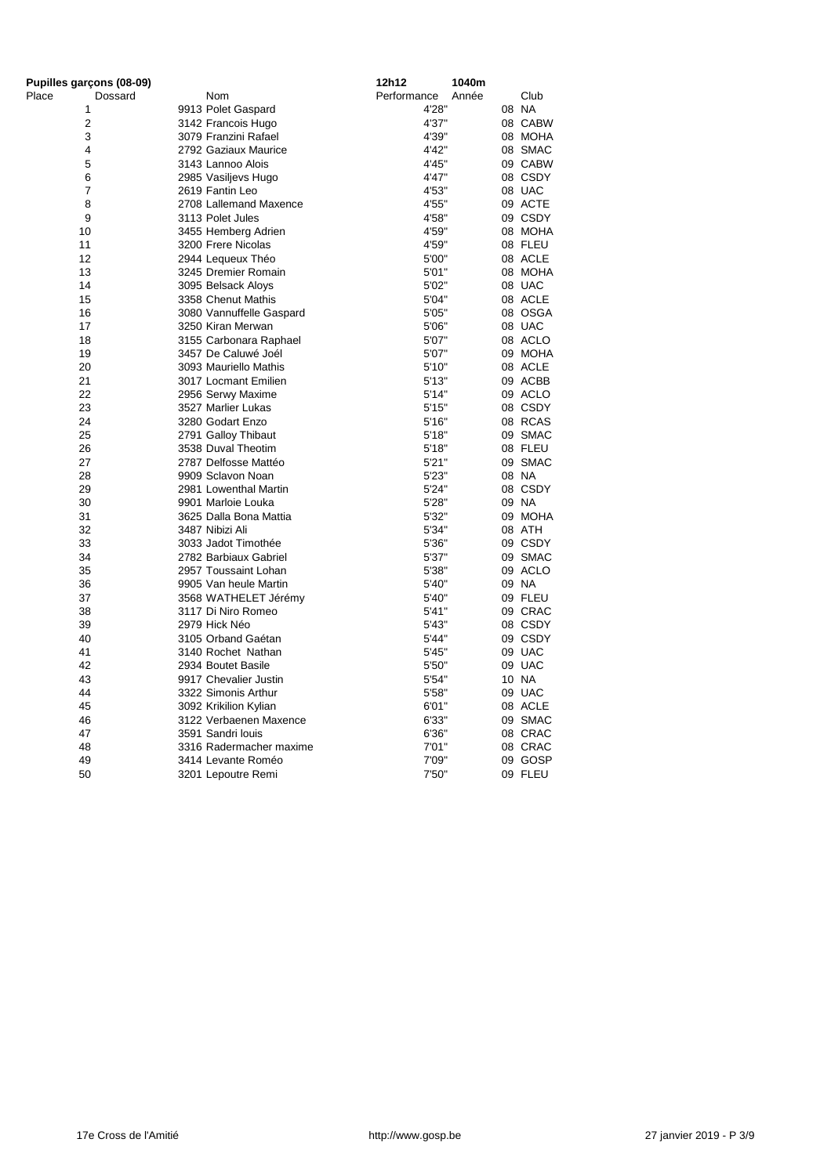| Pupilles garçons (08-09) |                          | 12h12       | 1040m |         |
|--------------------------|--------------------------|-------------|-------|---------|
| Place<br>Dossard         | Nom                      | Performance | Année | Club    |
| 1                        | 9913 Polet Gaspard       | 4'28"       |       | 08 NA   |
| $\overline{2}$           | 3142 Francois Hugo       | 4'37"       |       | 08 CABW |
| 3                        | 3079 Franzini Rafael     | 4'39"       |       | 08 MOHA |
| 4                        | 2792 Gaziaux Maurice     | 4'42"       |       | 08 SMAC |
| 5                        | 3143 Lannoo Alois        | 4'45"       |       | 09 CABW |
| $6\phantom{1}6$          | 2985 Vasiljevs Hugo      | 4'47"       |       | 08 CSDY |
| $\overline{7}$           | 2619 Fantin Leo          | 4'53"       |       | 08 UAC  |
| 8                        | 2708 Lallemand Maxence   | 4'55"       |       | 09 ACTE |
| 9                        | 3113 Polet Jules         | 4'58"       |       | 09 CSDY |
| 10                       | 3455 Hemberg Adrien      | 4'59"       |       | 08 MOHA |
| 11                       | 3200 Frere Nicolas       | 4'59"       |       | 08 FLEU |
| 12                       | 2944 Lequeux Théo        | 5'00"       |       | 08 ACLE |
| 13                       | 3245 Dremier Romain      | 5'01"       |       | 08 MOHA |
| 14                       | 3095 Belsack Aloys       | 5'02"       |       | 08 UAC  |
| 15                       | 3358 Chenut Mathis       | 5'04"       |       | 08 ACLE |
| 16                       | 3080 Vannuffelle Gaspard | 5'05"       |       | 08 OSGA |
| 17                       | 3250 Kiran Merwan        | 5'06"       |       | 08 UAC  |
| 18                       | 3155 Carbonara Raphael   | 5'07"       |       | 08 ACLO |
| 19                       | 3457 De Caluwé Joél      | 5'07"       |       | 09 MOHA |
| 20                       | 3093 Mauriello Mathis    | 5'10"       |       | 08 ACLE |
| 21                       | 3017 Locmant Emilien     | 5'13''      |       | 09 ACBB |
| 22                       | 2956 Serwy Maxime        | 5'14"       |       | 09 ACLO |
| 23                       | 3527 Marlier Lukas       | 5'15''      |       | 08 CSDY |
| 24                       | 3280 Godart Enzo         | 5'16"       |       | 08 RCAS |
| 25                       | 2791 Galloy Thibaut      | 5'18"       |       | 09 SMAC |
| 26                       | 3538 Duval Theotim       | 5'18"       |       | 08 FLEU |
| 27                       | 2787 Delfosse Mattéo     | 5'21"       |       | 09 SMAC |
| 28                       | 9909 Sclavon Noan        | 5'23"       |       | 08 NA   |
| 29                       | 2981 Lowenthal Martin    | 5'24"       |       | 08 CSDY |
| 30                       | 9901 Marloie Louka       | 5'28"       |       | 09 NA   |
| 31                       | 3625 Dalla Bona Mattia   | 5'32"       |       | 09 MOHA |
| 32                       | 3487 Nibizi Ali          | 5'34"       |       | 08 ATH  |
| 33                       | 3033 Jadot Timothée      | 5'36"       |       | 09 CSDY |
| 34                       | 2782 Barbiaux Gabriel    | 5'37"       |       | 09 SMAC |
| 35                       | 2957 Toussaint Lohan     | 5'38"       |       | 09 ACLO |
| 36                       | 9905 Van heule Martin    | 5'40"       |       | 09 NA   |
| 37                       | 3568 WATHELET Jérémy     | 5'40"       |       | 09 FLEU |
| 38                       | 3117 Di Niro Romeo       | 5'41"       |       | 09 CRAC |
| 39                       | 2979 Hick Néo            | 5'43"       |       | 08 CSDY |
| 40                       | 3105 Orband Gaétan       | 5'44"       |       | 09 CSDY |
| 41                       | 3140 Rochet Nathan       | 5'45"       |       | 09 UAC  |
| 42                       | 2934 Boutet Basile       | 5'50"       |       | 09 UAC  |
| 43                       | 9917 Chevalier Justin    | 5'54"       |       | 10 NA   |
| 44                       | 3322 Simonis Arthur      | 5'58"       |       | 09 UAC  |
| 45                       | 3092 Krikilion Kylian    | 6'01"       |       | 08 ACLE |
| 46                       | 3122 Verbaenen Maxence   | 6'33"       |       | 09 SMAC |
| 47                       | 3591 Sandri louis        | 6'36"       |       | 08 CRAC |
| 48                       | 3316 Radermacher maxime  | 7'01"       |       | 08 CRAC |
| 49                       | 3414 Levante Roméo       | 7'09"       |       | 09 GOSP |
| 50                       | 3201 Lepoutre Remi       | 7'50"       |       | 09 FLEU |
|                          |                          |             |       |         |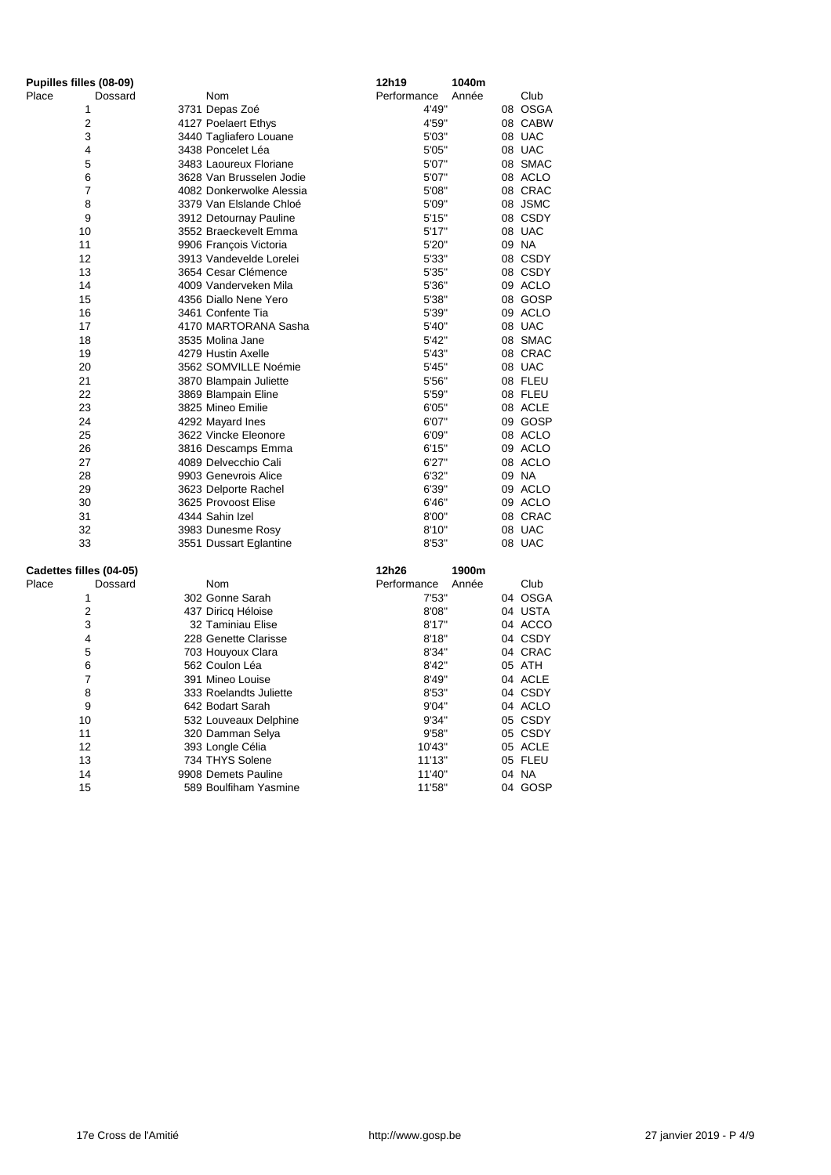| Pupilles filles (08-09) |  |                          | 12h19       | 1040m |         |
|-------------------------|--|--------------------------|-------------|-------|---------|
| Place<br>Dossard        |  | Nom                      | Performance | Année | Club    |
| 1                       |  | 3731 Depas Zoé           | 4'49"       |       | 08 OSGA |
| $\overline{2}$          |  | 4127 Poelaert Ethys      | 4'59"       |       | 08 CABW |
| 3                       |  | 3440 Tagliafero Louane   | 5'03"       |       | 08 UAC  |
| 4                       |  | 3438 Poncelet Léa        | 5'05"       |       | 08 UAC  |
| 5                       |  | 3483 Laoureux Floriane   | 5'07"       |       | 08 SMAC |
| 6                       |  | 3628 Van Brusselen Jodie | 5'07"       |       | 08 ACLO |
| 7                       |  | 4082 Donkerwolke Alessia | 5'08"       |       | 08 CRAC |
| 8                       |  | 3379 Van Elslande Chloé  | 5'09"       |       | 08 JSMC |
| 9                       |  | 3912 Detournay Pauline   | 5'15"       |       | 08 CSDY |
| 10                      |  | 3552 Braeckevelt Emma    | 5'17"       |       | 08 UAC  |
| 11                      |  | 9906 François Victoria   | 5'20"       |       | 09 NA   |
| 12                      |  | 3913 Vandevelde Lorelei  | 5'33"       |       | 08 CSDY |
| 13                      |  | 3654 Cesar Clémence      | 5'35"       |       | 08 CSDY |
| 14                      |  | 4009 Vanderveken Mila    | 5'36"       |       | 09 ACLO |
| 15                      |  | 4356 Diallo Nene Yero    | 5'38"       |       | 08 GOSP |
| 16                      |  | 3461 Confente Tia        | 5'39"       |       | 09 ACLO |
| 17                      |  | 4170 MARTORANA Sasha     | 5'40"       |       | 08 UAC  |
| 18                      |  | 3535 Molina Jane         | 5'42"       |       | 08 SMAC |
| 19                      |  | 4279 Hustin Axelle       | 5'43"       |       | 08 CRAC |
| 20                      |  | 3562 SOMVILLE Noémie     | 5'45"       |       | 08 UAC  |
| 21                      |  | 3870 Blampain Juliette   | 5'56"       |       | 08 FLEU |
| 22                      |  | 3869 Blampain Eline      | 5'59"       |       | 08 FLEU |
| 23                      |  | 3825 Mineo Emilie        | 6'05"       |       | 08 ACLE |
| 24                      |  | 4292 Mayard Ines         | 6'07"       |       | 09 GOSP |
| 25                      |  | 3622 Vincke Eleonore     | 6'09"       |       | 08 ACLO |
| 26                      |  | 3816 Descamps Emma       | 6'15"       |       | 09 ACLO |
| 27                      |  | 4089 Delvecchio Cali     | 6'27"       |       | 08 ACLO |
| 28                      |  | 9903 Genevrois Alice     | 6'32"       |       | 09 NA   |
| 29                      |  | 3623 Delporte Rachel     | 6'39"       |       | 09 ACLO |
| 30                      |  | 3625 Provoost Elise      | 6'46"       |       | 09 ACLO |
| 31                      |  | 4344 Sahin Izel          | 8'00"       |       | 08 CRAC |
| 32                      |  | 3983 Dunesme Rosy        | 8'10"       |       | 08 UAC  |
| 33                      |  | 3551 Dussart Eglantine   | 8'53"       |       | 08 UAC  |
| Cadettes filles (04-05) |  |                          | 12h26       | 1900m |         |
| Place<br>Dossard        |  | Nom                      | Performance | Année | Club    |
| 1                       |  | 302 Gonne Sarah          | 7'53"       |       | 04 OSGA |
| $\overline{c}$          |  | 437 Diricq Héloise       | 8'08"       |       | 04 USTA |
| 3                       |  | 32 Taminiau Elise        | 8'17"       |       | 04 ACCO |
| 4                       |  | 228 Genette Clarisse     | 8'18"       |       | 04 CSDY |
| 5                       |  | 703 Houyoux Clara        | 8'34"       |       | 04 CRAC |
| 6                       |  | 562 Coulon Léa           | 8'42"       |       | 05 ATH  |
| 7                       |  | 391 Mineo Louise         | 8'49"       |       | 04 ACLE |
| 8                       |  | 333 Roelandts Juliette   | 8'53"       |       | 04 CSDY |
| 9                       |  | 642 Bodart Sarah         | 9'04"       |       | 04 ACLO |
| 10                      |  | 532 Louveaux Delphine    | 9'34"       |       | 05 CSDY |
| 11                      |  | 320 Damman Selya         | 9'58"       |       | 05 CSDY |
| 12                      |  | 393 Longle Célia         | 10'43"      |       | 05 ACLE |
| 13                      |  | 734 THYS Solene          | 11'13"      |       | 05 FLEU |
| 14                      |  | 9908 Demets Pauline      | 11'40"      |       | 04 NA   |
| 15                      |  | 589 Boulfiham Yasmine    | 11'58"      |       | 04 GOSP |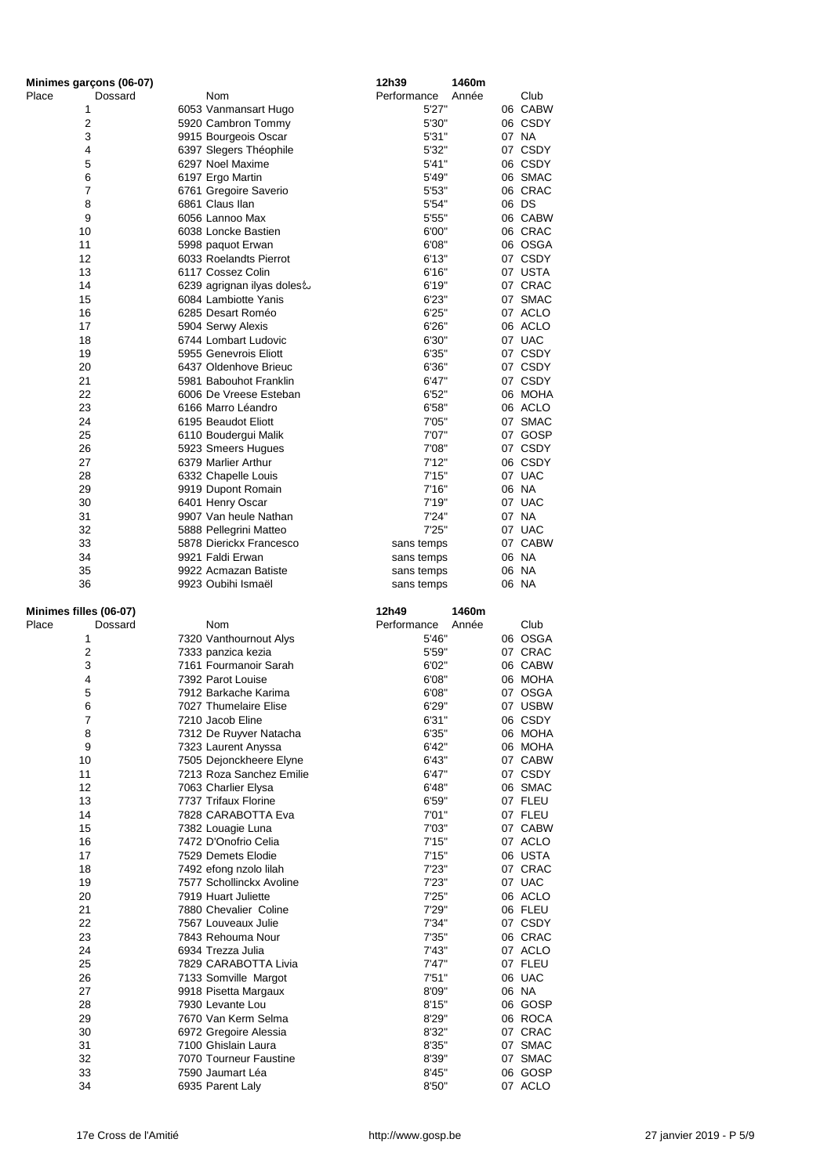| Minimes garçons (06-07) |                            | 12h39<br>1460m       |         |
|-------------------------|----------------------------|----------------------|---------|
| Place<br>Dossard        | <b>Nom</b>                 | Performance<br>Année | Club    |
| 1                       | 6053 Vanmansart Hugo       | 5'27"                | 06 CABW |
| $\mathbf{2}$            | 5920 Cambron Tommy         | 5'30"                | 06 CSDY |
| 3                       | 9915 Bourgeois Oscar       | 5'31"                | 07 NA   |
| 4                       | 6397 Slegers Théophile     | 5'32"                | 07 CSDY |
| 5                       | 6297 Noel Maxime           | 5'41"                | 06 CSDY |
| 6                       | 6197 Ergo Martin           | 5'49"                | 06 SMAC |
| 7                       | 6761 Gregoire Saverio      | 5'53"                | 06 CRAC |
| 8                       | 6861 Claus Ilan            | 5'54"                | 06 DS   |
| 9                       | 6056 Lannoo Max            | 5'55"                | 06 CABW |
| 10                      | 6038 Loncke Bastien        | 6'00"                | 06 CRAC |
| 11                      | 5998 paquot Erwan          | 6'08"                | 06 OSGA |
| 12                      | 6033 Roelandts Pierrot     | 6'13''               | 07 CSDY |
| 13                      | 6117 Cossez Colin          | 6'16"                | 07 USTA |
| 14                      | 6239 agrignan ilyas doles& | 6'19"                | 07 CRAC |
| 15                      | 6084 Lambiotte Yanis       | 6'23"                | 07 SMAC |
| 16                      | 6285 Desart Roméo          | 6'25"                | 07 ACLO |
| 17                      | 5904 Serwy Alexis          | 6'26"                | 06 ACLO |
| 18                      | 6744 Lombart Ludovic       | 6'30"                | 07 UAC  |
| 19                      | 5955 Genevrois Eliott      | 6'35"                | 07 CSDY |
| 20                      | 6437 Oldenhove Brieuc      | 6'36"                | 07 CSDY |
| 21                      | 5981 Babouhot Franklin     | 6'47"                | 07 CSDY |
| 22                      | 6006 De Vreese Esteban     | 6'52"                | 06 MOHA |
| 23                      | 6166 Marro Léandro         | 6'58"                | 06 ACLO |
| 24                      | 6195 Beaudot Eliott        | 7'05"                | 07 SMAC |
| 25                      | 6110 Boudergui Malik       | 7'07"                | 07 GOSP |
| 26                      | 5923 Smeers Hugues         | 7'08"                | 07 CSDY |
| 27                      | 6379 Marlier Arthur        | 7'12"                | 06 CSDY |
| 28                      | 6332 Chapelle Louis        | 7'15"                | 07 UAC  |
| 29                      | 9919 Dupont Romain         | 7'16"                | 06 NA   |
| 30                      | 6401 Henry Oscar           | 7'19"                | 07 UAC  |
| 31                      | 9907 Van heule Nathan      | 7'24"                | 07 NA   |
| 32                      | 5888 Pellegrini Matteo     | 7'25"                | 07 UAC  |
| 33                      | 5878 Dierickx Francesco    | sans temps           | 07 CABW |
| 34                      | 9921 Faldi Erwan           | sans temps           | 06 NA   |
| 35                      | 9922 Acmazan Batiste       | sans temps           | 06 NA   |
| 36                      | 9923 Oubihi Ismaël         | sans temps           | 06 NA   |
|                         |                            |                      |         |
| Minimes filles (06-07)  |                            | 12h49<br>1460m       |         |
| Place<br>Dossard        | <b>Nom</b>                 | Performance<br>Année | Club    |
| 1                       | 7320 Vanthournout Alys     | 5'46"                | 06 OSGA |
| $\mathbf{2}$            | 7333 panzica kezia         | 5'59"                | 07 CRAC |
| 3                       | 7161 Fourmanoir Sarah      | 6'02"                | 06 CABW |
| 4                       | 7392 Parot Louise          | 6'08"                | 06 MOHA |
| 5                       | 7912 Barkache Karima       | 6'08"                | 07 OSGA |
| 6                       | 7027 Thumelaire Elise      | 6'29"                | 07 USBW |
| 7                       | 7210 Jacob Eline           | 6'31"                | 06 CSDY |
| 8                       | 7312 De Ruyver Natacha     | 6'35"                | 06 MOHA |
| 9                       | 7323 Laurent Anyssa        | 6'42"                | 06 MOHA |
| 10                      | 7505 Dejonckheere Elyne    | 6'43"                | 07 CABW |
| 11                      | 7213 Roza Sanchez Emilie   | 6'47"                | 07 CSDY |
| 12                      | 7063 Charlier Elysa        | 6'48"                | 06 SMAC |
| 13                      | 7737 Trifaux Florine       | 6'59"                | 07 FLEU |
| 14                      | 7828 CARABOTTA Eva         | 7'01"                | 07 FLEU |
| 15                      | 7382 Louagie Luna          | 7'03"                | 07 CABW |
| 16                      | 7472 D'Onofrio Celia       | 7'15"                | 07 ACLO |
| 17                      | 7529 Demets Elodie         | 7'15"                | 06 USTA |
| 18                      | 7492 efong nzolo lilah     | 7'23"                | 07 CRAC |
| 19                      | 7577 Schollinckx Avoline   | 7'23"                | 07 UAC  |
| 20                      | 7919 Huart Juliette        | 7'25"                | 06 ACLO |
| 21                      | 7880 Chevalier Coline      | 7'29"                | 06 FLEU |
| 22                      | 7567 Louveaux Julie        | 7'34"                | 07 CSDY |
| 23                      | 7843 Rehouma Nour          | 7'35"                | 06 CRAC |
| 24                      |                            | 7'43"                | 07 ACLO |
| 25                      | 6934 Trezza Julia          |                      |         |
| 26                      | 7829 CARABOTTA Livia       | 7'47"                | 07 FLEU |
| 27                      | 7133 Somville Margot       | 7'51''               | 06 UAC  |
|                         | 9918 Pisetta Margaux       | 8'09"                | 06 NA   |
| 28                      | 7930 Levante Lou           | 8'15"                | 06 GOSP |
| 29                      | 7670 Van Kerm Selma        | 8'29"                | 06 ROCA |
| 30                      | 6972 Gregoire Alessia      | 8'32"                | 07 CRAC |
| 31                      | 7100 Ghislain Laura        | 8'35"                | 07 SMAC |
| 32                      | 7070 Tourneur Faustine     | 8'39"                | 07 SMAC |
| 33                      | 7590 Jaumart Léa           | 8'45"                | 06 GOSP |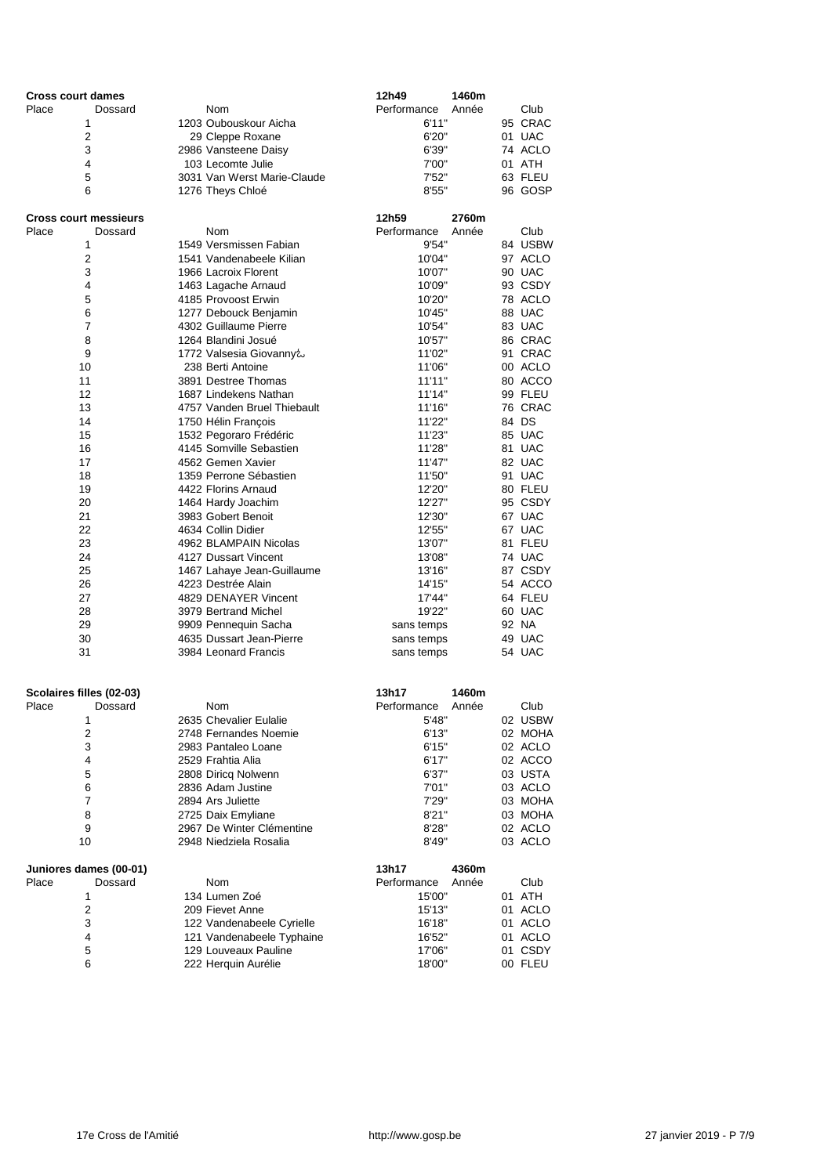| <b>Cross court dames</b>     |                                                  | 12h49<br>1460m           |                    |
|------------------------------|--------------------------------------------------|--------------------------|--------------------|
| Place<br>Dossard             | Nom                                              | Performance<br>Année     | Club               |
| 1                            | 1203 Oubouskour Aicha                            | 6'11"                    | 95 CRAC            |
| $\overline{2}$               | 29 Cleppe Roxane                                 | 6'20"                    | 01 UAC             |
| 3                            | 2986 Vansteene Daisy                             | 6'39"                    | 74 ACLO            |
| 4                            | 103 Lecomte Julie                                | 7'00"                    | 01 ATH             |
| 5                            | 3031 Van Werst Marie-Claude                      | 7'52"                    | 63 FLEU            |
| 6                            | 1276 Theys Chloé                                 | 8'55"                    | 96 GOSP            |
| <b>Cross court messieurs</b> |                                                  | 12h59<br>2760m           |                    |
| Place<br>Dossard             | <b>Nom</b>                                       | Performance<br>Année     | Club               |
| 1                            | 1549 Versmissen Fabian                           | 9'54"                    | 84 USBW            |
| $\boldsymbol{2}$             | 1541 Vandenabeele Kilian                         | 10'04"                   | 97 ACLO            |
| 3<br>4                       | 1966 Lacroix Florent                             | 10'07"<br>10'09"         | 90 UAC<br>93 CSDY  |
| 5                            | 1463 Lagache Arnaud<br>4185 Provoost Erwin       | 10'20"                   | 78 ACLO            |
| 6                            | 1277 Debouck Benjamin                            | 10'45"                   | 88 UAC             |
| 7                            | 4302 Guillaume Pierre                            | 10'54"                   | 83 UAC             |
| 8                            | 1264 Blandini Josué                              | 10'57"                   | 86 CRAC            |
| 9                            | 1772 Valsesia Giovanny&                          | 11'02"                   | 91 CRAC            |
| 10                           | 238 Berti Antoine                                | 11'06"                   | 00 ACLO            |
| 11                           | 3891 Destree Thomas                              | 11'11"                   | 80 ACCO            |
| 12                           | 1687 Lindekens Nathan                            | 11'14"                   | 99 FLEU            |
| 13                           | 4757 Vanden Bruel Thiebault                      | 11'16"                   | 76 CRAC            |
| 14                           | 1750 Hélin François                              | 11'22"                   | 84 DS              |
| 15                           | 1532 Pegoraro Frédéric                           | 11'23"                   | 85 UAC             |
| 16                           | 4145 Somville Sebastien                          | 11'28"                   | 81 UAC             |
| 17<br>18                     | 4562 Gemen Xavier<br>1359 Perrone Sébastien      | 11'47"<br>11'50"         | 82 UAC<br>91 UAC   |
| 19                           | 4422 Florins Arnaud                              | 12'20"                   | 80 FLEU            |
| 20                           | 1464 Hardy Joachim                               | 12'27"                   | 95 CSDY            |
| 21                           | 3983 Gobert Benoit                               | 12'30"                   | 67 UAC             |
| 22                           | 4634 Collin Didier                               | 12'55"                   | 67 UAC             |
| 23                           | 4962 BLAMPAIN Nicolas                            | 13'07"                   | 81 FLEU            |
| 24                           | 4127 Dussart Vincent                             | 13'08"                   | 74 UAC             |
| 25                           | 1467 Lahaye Jean-Guillaume                       | 13'16"                   | 87 CSDY            |
| 26                           | 4223 Destrée Alain                               | 14'15"                   | 54 ACCO            |
| 27                           | 4829 DENAYER Vincent                             | 17'44"                   | 64 FLEU            |
| 28                           | 3979 Bertrand Michel                             | 19'22"                   | 60 UAC             |
| 29                           | 9909 Pennequin Sacha                             | sans temps               | 92 NA              |
| 30<br>31                     | 4635 Dussart Jean-Pierre<br>3984 Leonard Francis | sans temps<br>sans temps | 49 UAC<br>54 UAC   |
|                              |                                                  |                          |                    |
| Scolaires filles (02-03)     |                                                  | 13h17<br>1460m           |                    |
| Dossard<br>Place             | <b>Nom</b>                                       | Performance<br>Année     | Club               |
| 1                            | 2635 Chevalier Eulalie                           | 5'48"                    | 02 USBW            |
| $\overline{\mathbf{c}}$      | 2748 Fernandes Noemie                            | 6'13''                   | 02 MOHA            |
| 3                            | 2983 Pantaleo Loane                              | 6'15"                    | 02 ACLO            |
| 4                            | 2529 Frahtia Alia                                | 6'17"                    | 02 ACCO            |
| 5                            | 2808 Diricq Nolwenn                              | 6'37"                    | 03 USTA            |
| 6                            | 2836 Adam Justine                                | 7'01"                    | 03 ACLO            |
| $\overline{7}$<br>8          | 2894 Ars Juliette<br>2725 Daix Emyliane          | 7'29"<br>8'21''          | 03 MOHA<br>03 MOHA |
| 9                            | 2967 De Winter Clémentine                        | 8'28"                    | 02 ACLO            |
| 10                           | 2948 Niedziela Rosalia                           | 8'49"                    | 03 ACLO            |
| Juniores dames (00-01)       |                                                  | 13h17<br>4360m           |                    |
| Dossard<br>Place             | Nom                                              | Performance<br>Année     | Club               |
| 1                            | 134 Lumen Zoé                                    | 15'00"                   | 01 ATH             |
| $\overline{\mathbf{c}}$      | 209 Fievet Anne                                  | 15'13"                   | 01 ACLO            |
| 3                            | 122 Vandenabeele Cyrielle                        | 16'18"                   | 01 ACLO            |
| 4                            | 121 Vandenabeele Typhaine                        | 16'52"                   | 01 ACLO            |
| 5                            | 129 Louveaux Pauline                             | 17'06"                   | 01 CSDY            |
| 6                            | 222 Herquin Aurélie                              | 18'00"                   | 00 FLEU            |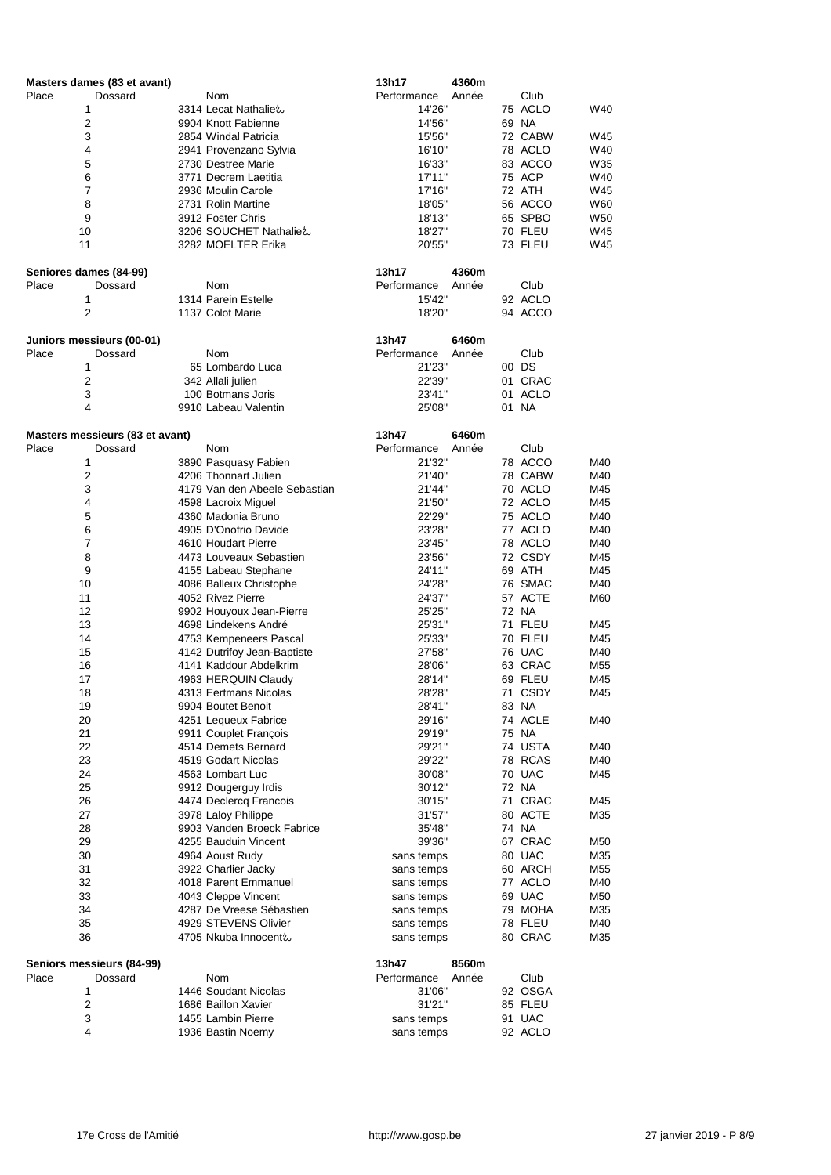|       | Masters dames (83 et avant)     |                               | 13h17       | 4360m |         |                 |
|-------|---------------------------------|-------------------------------|-------------|-------|---------|-----------------|
| Place | Dossard                         | Nom                           | Performance | Année | Club    |                 |
|       | 1                               | 3314 Lecat Nathalie &         | 14'26"      |       | 75 ACLO | W40             |
|       | $\mathbf 2$                     | 9904 Knott Fabienne           | 14'56"      |       | 69 NA   |                 |
|       | 3                               | 2854 Windal Patricia          | 15'56"      |       | 72 CABW | W45             |
|       | 4                               | 2941 Provenzano Sylvia        | 16'10"      |       | 78 ACLO | W40             |
|       | 5                               | 2730 Destree Marie            | 16'33"      |       | 83 ACCO | W35             |
|       |                                 |                               |             |       |         |                 |
|       | 6                               | 3771 Decrem Laetitia          | 17'11"      |       | 75 ACP  | W40             |
|       | $\overline{7}$                  | 2936 Moulin Carole            | 17'16"      |       | 72 ATH  | W45             |
|       | 8                               | 2731 Rolin Martine            | 18'05"      |       | 56 ACCO | W60             |
|       | 9                               | 3912 Foster Chris             | 18'13"      |       | 65 SPBO | W <sub>50</sub> |
|       | 10                              | 3206 SOUCHET Nathalie &       | 18'27"      |       | 70 FLEU | W45             |
|       | 11                              | 3282 MOELTER Erika            | 20'55"      |       | 73 FLEU | W45             |
|       |                                 |                               |             |       |         |                 |
|       | Seniores dames (84-99)          |                               | 13h17       | 4360m |         |                 |
| Place | Dossard                         | Nom                           | Performance | Année | Club    |                 |
|       | 1                               | 1314 Parein Estelle           | 15'42"      |       | 92 ACLO |                 |
|       |                                 |                               |             |       |         |                 |
|       | $\boldsymbol{2}$                | 1137 Colot Marie              | 18'20"      |       | 94 ACCO |                 |
|       |                                 |                               |             |       |         |                 |
|       | Juniors messieurs (00-01)       |                               | 13h47       | 6460m |         |                 |
| Place | Dossard                         | Nom                           | Performance | Année | Club    |                 |
|       | 1                               | 65 Lombardo Luca              | 21'23"      |       | 00 DS   |                 |
|       | $\boldsymbol{2}$                | 342 Allali julien             | 22'39"      |       | 01 CRAC |                 |
|       | $\ensuremath{\mathsf{3}}$       | 100 Botmans Joris             | 23'41"      |       | 01 ACLO |                 |
|       | 4                               | 9910 Labeau Valentin          | 25'08"      |       | 01 NA   |                 |
|       |                                 |                               |             |       |         |                 |
|       |                                 |                               |             |       |         |                 |
|       | Masters messieurs (83 et avant) |                               | 13h47       | 6460m |         |                 |
| Place | Dossard                         | Nom                           | Performance | Année | Club    |                 |
|       | 1                               | 3890 Pasquasy Fabien          | 21'32"      |       | 78 ACCO | M40             |
|       | $\boldsymbol{2}$                | 4206 Thonnart Julien          | 21'40"      |       | 78 CABW | M40             |
|       | $\mathbf{3}$                    | 4179 Van den Abeele Sebastian | 21'44"      |       | 70 ACLO | M45             |
|       | 4                               | 4598 Lacroix Miguel           | 21'50"      |       | 72 ACLO | M45             |
|       | 5                               | 4360 Madonia Bruno            | 22'29"      |       | 75 ACLO | M40             |
|       | 6                               | 4905 D'Onofrio Davide         | 23'28"      |       | 77 ACLO | M40             |
|       |                                 |                               |             |       |         |                 |
|       | $\overline{7}$                  | 4610 Houdart Pierre           | 23'45"      |       | 78 ACLO | M40             |
|       | 8                               | 4473 Louveaux Sebastien       | 23'56"      |       | 72 CSDY | M45             |
|       | 9                               | 4155 Labeau Stephane          | 24'11"      |       | 69 ATH  | M45             |
|       | 10                              | 4086 Balleux Christophe       | 24'28"      |       | 76 SMAC | M40             |
|       | 11                              | 4052 Rivez Pierre             | 24'37"      |       | 57 ACTE | M60             |
|       | 12                              | 9902 Houyoux Jean-Pierre      | 25'25"      |       | 72 NA   |                 |
|       | 13                              | 4698 Lindekens André          | 25'31"      |       | 71 FLEU | M45             |
|       |                                 |                               |             |       |         |                 |
|       | 14                              | 4753 Kempeneers Pascal        | 25'33"      |       | 70 FLEU | M45             |
|       | 15                              | 4142 Dutrifoy Jean-Baptiste   | 27'58"      |       | 76 UAC  | M40             |
|       | 16                              | 4141 Kaddour Abdelkrim        | 28'06"      |       | 63 CRAC | M55             |
|       | 17                              | 4963 HERQUIN Claudy           | 28'14"      |       | 69 FLEU | M45             |
|       | 18                              | 4313 Eertmans Nicolas         | 28'28"      |       | 71 CSDY | M45             |
|       | 19                              | 9904 Boutet Benoit            | 28'41"      |       | 83 NA   |                 |
|       | 20                              | 4251 Lequeux Fabrice          | 29'16"      |       | 74 ACLE | M40             |
|       | 21                              |                               |             |       |         |                 |
|       |                                 | 9911 Couplet François         | 29'19"      |       | 75 NA   |                 |
|       | 22                              | 4514 Demets Bernard           | 29'21"      |       | 74 USTA | M40             |
|       | 23                              | 4519 Godart Nicolas           | 29'22"      |       | 78 RCAS | M40             |
|       | 24                              | 4563 Lombart Luc              | 30'08"      |       | 70 UAC  | M45             |
|       | 25                              | 9912 Dougerguy Irdis          | 30'12"      |       | 72 NA   |                 |
|       | 26                              | 4474 Declercq Francois        | 30'15"      |       | 71 CRAC | M45             |
|       | 27                              | 3978 Laloy Philippe           | 31'57"      |       | 80 ACTE | M35             |
|       | 28                              |                               |             |       | 74 NA   |                 |
|       |                                 | 9903 Vanden Broeck Fabrice    | 35'48"      |       |         |                 |
|       | 29                              | 4255 Bauduin Vincent          | 39'36"      |       | 67 CRAC | M50             |
|       | 30                              | 4964 Aoust Rudy               | sans temps  |       | 80 UAC  | M35             |
|       | 31                              | 3922 Charlier Jacky           | sans temps  |       | 60 ARCH | M55             |
|       | 32                              | 4018 Parent Emmanuel          | sans temps  |       | 77 ACLO | M40             |
|       | 33                              | 4043 Cleppe Vincent           | sans temps  |       | 69 UAC  | M50             |
|       | 34                              | 4287 De Vreese Sébastien      | sans temps  |       | 79 MOHA | M35             |
|       |                                 | 4929 STEVENS Olivier          |             |       | 78 FLEU | M40             |
|       | 35                              |                               | sans temps  |       |         |                 |
|       | 36                              | 4705 Nkuba Innocent&          | sans temps  |       | 80 CRAC | M35             |
|       |                                 |                               |             |       |         |                 |
|       | Seniors messieurs (84-99)       |                               | 13h47       | 8560m |         |                 |
| Place | Dossard                         | <b>Nom</b>                    | Performance | Année | Club    |                 |
|       | 1                               | 1446 Soudant Nicolas          | 31'06"      |       | 92 OSGA |                 |
|       | 2                               | 1686 Baillon Xavier           | 31'21"      |       | 85 FLEU |                 |
|       | 3                               |                               |             |       |         |                 |
|       |                                 | 1455 Lambin Pierre            | sans temps  |       | 91 UAC  |                 |
|       | $\overline{\mathbf{4}}$         | 1936 Bastin Noemy             | sans temps  |       | 92 ACLO |                 |